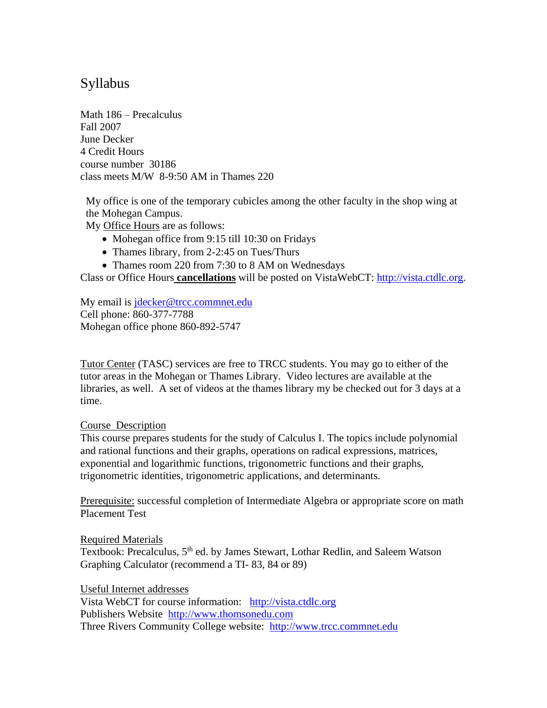## Syllabus

Math 186 – Precalculus Fall 2007 June Decker 4 Credit Hours course number 30186 class meets M/W 8-9:50 AM in Thames 220

My office is one of the temporary cubicles among the other faculty in the shop wing at the Mohegan Campus.

My Office Hours are as follows:

- Mohegan office from 9:15 till 10:30 on Fridays
- Thames library, from 2-2:45 on Tues/Thurs
- Thames room 220 from 7:30 to 8 AM on Wednesdays

Class or Office Hours **cancellations** will be posted on VistaWebCT: [http://vista.ctdlc.org.](http://vista.ctdlc.org/)

My email is [jdecker@trcc.commnet.edu](mailto:jdecker@trcc.commnet.edu) Cell phone: 860-377-7788 Mohegan office phone 860-892-5747

Tutor Center (TASC) services are free to TRCC students. You may go to either of the tutor areas in the Mohegan or Thames Library. Video lectures are available at the libraries, as well. A set of videos at the thames library my be checked out for 3 days at a time.

## Course Description

This course prepares students for the study of Calculus I. The topics include polynomial and rational functions and their graphs, operations on radical expressions, matrices, exponential and logarithmic functions, trigonometric functions and their graphs, trigonometric identities, trigonometric applications, and determinants.

Prerequisite: successful completion of Intermediate Algebra or appropriate score on math Placement Test

Required Materials Textbook: Precalculus, 5<sup>th</sup> ed. by James Stewart, Lothar Redlin, and Saleem Watson Graphing Calculator (recommend a TI- 83, 84 or 89)

Useful Internet addresses Vista WebCT for course information: [http://vista.ctdlc.org](http://vista.ctdlc.org/) Publishers Website [http://www.thomsonedu.com](http://www.thomsonedu.com/)  Three Rivers Community College website: [http://www.trcc.commnet.edu](http://www.trcc.commnet.edu/)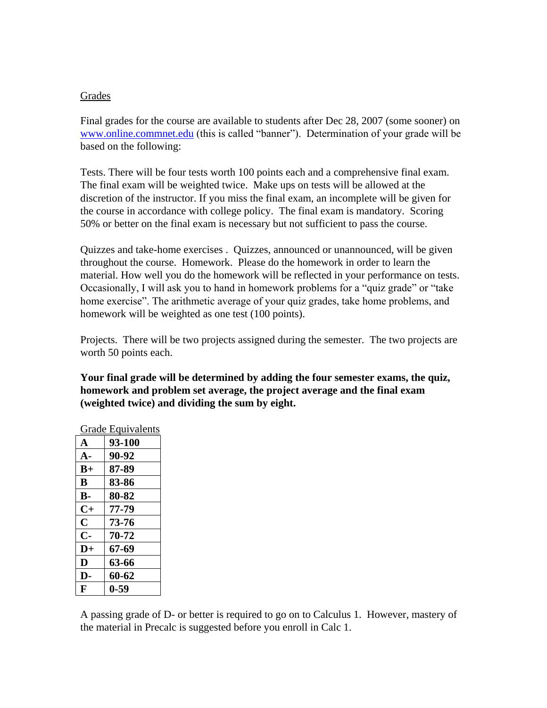## Grades

Final grades for the course are available to students after Dec 28, 2007 (some sooner) on [www.online.commnet.edu](http://www.online.commnet.edu/) (this is called "banner"). Determination of your grade will be based on the following:

Tests. There will be four tests worth 100 points each and a comprehensive final exam. The final exam will be weighted twice. Make ups on tests will be allowed at the discretion of the instructor. If you miss the final exam, an incomplete will be given for the course in accordance with college policy. The final exam is mandatory. Scoring 50% or better on the final exam is necessary but not sufficient to pass the course.

Quizzes and take-home exercises . Quizzes, announced or unannounced, will be given throughout the course. Homework. Please do the homework in order to learn the material. How well you do the homework will be reflected in your performance on tests. Occasionally, I will ask you to hand in homework problems for a "quiz grade" or "take home exercise". The arithmetic average of your quiz grades, take home problems, and homework will be weighted as one test (100 points).

Projects. There will be two projects assigned during the semester. The two projects are worth 50 points each.

**Your final grade will be determined by adding the four semester exams, the quiz, homework and problem set average, the project average and the final exam (weighted twice) and dividing the sum by eight.**

| orauc<br>Lyurvalus |          |
|--------------------|----------|
| $\mathbf{A}$       | 93-100   |
| $A -$              | 90-92    |
| $B+$               | 87-89    |
| B                  | 83-86    |
| <b>B-</b>          | 80-82    |
| $C+$               | 77-79    |
| $\mathbf C$        | 73-76    |
| $\mathbf{C}$       | 70-72    |
| $\mathbf{D}+$      | 67-69    |
| D                  | 63-66    |
| D-                 | 60-62    |
| F                  | $0 - 59$ |

Grade Equivalents

A passing grade of D- or better is required to go on to Calculus 1. However, mastery of the material in Precalc is suggested before you enroll in Calc 1.